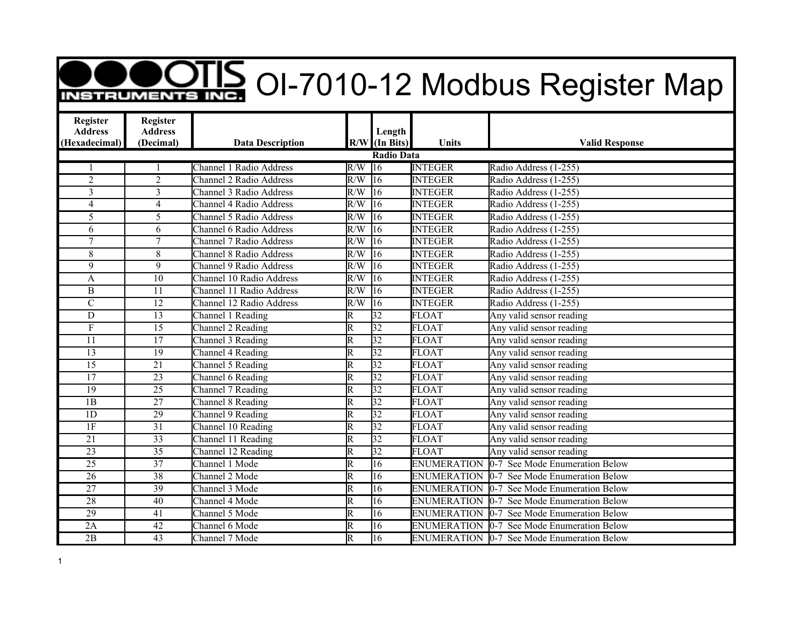## **OODIS** OI-7010-12 Modbus Register Map

| Register<br><b>Address</b> | Register<br><b>Address</b> |                                 |                         | Length            |                    |                                                   |
|----------------------------|----------------------------|---------------------------------|-------------------------|-------------------|--------------------|---------------------------------------------------|
| (Hexadecimal)              | (Decimal)                  | <b>Data Description</b>         |                         | $R/W$ (In Bits)   | Units              | <b>Valid Response</b>                             |
|                            |                            |                                 |                         | <b>Radio Data</b> |                    |                                                   |
|                            |                            | <b>Channel 1 Radio Address</b>  | R/W                     | $\overline{16}$   | <b>INTEGER</b>     | Radio Address (1-255)                             |
| $\overline{2}$             | $\overline{2}$             | <b>Channel 2 Radio Address</b>  | R/W                     | $\overline{16}$   | <b>INTEGER</b>     | Radio Address (1-255)                             |
| 3                          | $\overline{3}$             | <b>Channel 3 Radio Address</b>  | $\overline{R/W}$        | $\overline{16}$   | <b>INTEGER</b>     | Radio Address (1-255)                             |
| $\overline{4}$             | $\overline{4}$             | Channel 4 Radio Address         | R/W                     | $\overline{16}$   | <b>INTEGER</b>     | Radio Address (1-255)                             |
| $\overline{5}$             | $\overline{5}$             | Channel 5 Radio Address         | R/W                     | $\overline{16}$   | <b>INTEGER</b>     | Radio Address (1-255)                             |
| 6                          | 6                          | Channel 6 Radio Address         | $\overline{R/W}$        | $\overline{16}$   | <b>INTEGER</b>     | Radio Address (1-255)                             |
| $\tau$                     | $\tau$                     | <b>Channel 7 Radio Address</b>  | $\overline{R/W}$        | 16                | <b>INTEGER</b>     | Radio Address (1-255)                             |
| $8\,$                      | 8                          | <b>Channel 8 Radio Address</b>  | $\overline{R/W}$        | $\overline{16}$   | <b>INTEGER</b>     | Radio Address (1-255)                             |
| 9                          | $\overline{9}$             | <b>Channel 9 Radio Address</b>  | R/W                     | $\overline{16}$   | <b>INTEGER</b>     | Radio Address (1-255)                             |
| A                          | $\overline{10}$            | <b>Channel 10 Radio Address</b> | R/W                     | $\overline{16}$   | <b>INTEGER</b>     | Radio Address (1-255)                             |
| $\overline{B}$             | 11                         | Channel 11 Radio Address        | $\overline{R/W}$        | $\overline{16}$   | <b>INTEGER</b>     | Radio Address (1-255)                             |
| $\overline{C}$             | $\overline{12}$            | Channel 12 Radio Address        | R/W                     | $\overline{16}$   | <b>INTEGER</b>     | Radio Address (1-255)                             |
| D                          | 13                         | Channel 1 Reading               | $\overline{\mathrm{R}}$ | $\overline{32}$   | <b>FLOAT</b>       | Any valid sensor reading                          |
| $\boldsymbol{F}$           | $\overline{15}$            | Channel 2 Reading               | $\overline{\mathtt{R}}$ | $\overline{32}$   | <b>FLOAT</b>       | Any valid sensor reading                          |
| 11                         | $\overline{17}$            | Channel 3 Reading               | $\overline{\mathrm{R}}$ | $\overline{32}$   | <b>FLOAT</b>       | Any valid sensor reading                          |
| $\overline{13}$            | 19                         | Channel 4 Reading               | $\overline{\text{R}}$   | $\overline{32}$   | <b>FLOAT</b>       | Any valid sensor reading                          |
| $\overline{15}$            | $\overline{21}$            | Channel 5 Reading               | $\overline{\mathrm{R}}$ | $\overline{32}$   | <b>FLOAT</b>       | Any valid sensor reading                          |
| $\overline{17}$            | 23                         | Channel 6 Reading               | $\overline{\mathsf{R}}$ | $\overline{32}$   | <b>FLOAT</b>       | Any valid sensor reading                          |
| $\overline{19}$            | $\overline{25}$            | Channel 7 Reading               | $\overline{\mathsf{R}}$ | $\overline{32}$   | <b>FLOAT</b>       | Any valid sensor reading                          |
| $\overline{1B}$            | 27                         | Channel 8 Reading               | $\overline{\mathbb{R}}$ | $\overline{32}$   | <b>FLOAT</b>       | Any valid sensor reading                          |
| 1D                         | 29                         | Channel 9 Reading               | $\overline{\mathrm{R}}$ | $\overline{32}$   | <b>FLOAT</b>       | Any valid sensor reading                          |
| 1F                         | $\overline{31}$            | Channel 10 Reading              | $\overline{\mathsf{R}}$ | $\overline{32}$   | <b>FLOAT</b>       | Any valid sensor reading                          |
| $\overline{21}$            | $\overline{33}$            | Channel 11 Reading              | $\overline{\mathrm{R}}$ | $\overline{32}$   | <b>FLOAT</b>       | Any valid sensor reading                          |
| 23                         | $\overline{35}$            | Channel 12 Reading              | $\overline{\mathsf{R}}$ | 32                | <b>FLOAT</b>       | Any valid sensor reading                          |
| $\overline{25}$            | $\overline{37}$            | Channel 1 Mode                  | $\overline{\mathsf{R}}$ | $\overline{16}$   | <b>ENUMERATION</b> | 0-7 See Mode Enumeration Below                    |
| $\overline{26}$            | $\overline{38}$            | Channel 2 Mode                  | $\overline{\mathbb{R}}$ | $\overline{16}$   |                    | <b>ENUMERATION 0-7 See Mode Enumeration Below</b> |
| $\overline{27}$            | 39                         | Channel 3 Mode                  | R                       | 16                | <b>ENUMERATION</b> | <b>0-7</b> See Mode Enumeration Below             |
| $\overline{28}$            | 40                         | Channel 4 Mode                  | $\overline{\mathrm{R}}$ | 16                | <b>ENUMERATION</b> | 0-7 See Mode Enumeration Below                    |
| $\overline{29}$            | 41                         | Channel 5 Mode                  | $\overline{\mathrm{R}}$ | $\overline{16}$   | <b>ENUMERATION</b> | 0-7 See Mode Enumeration Below                    |
| 2A                         | 42                         | Channel 6 Mode                  | $\overline{\text{R}}$   | 16                | <b>ENUMERATION</b> | 0-7 See Mode Enumeration Below                    |
| $\overline{2B}$            | $\overline{43}$            | Channel 7 Mode                  | $\overline{\mathbb{R}}$ | $\overline{16}$   |                    | <b>ENUMERATION 0-7 See Mode Enumeration Below</b> |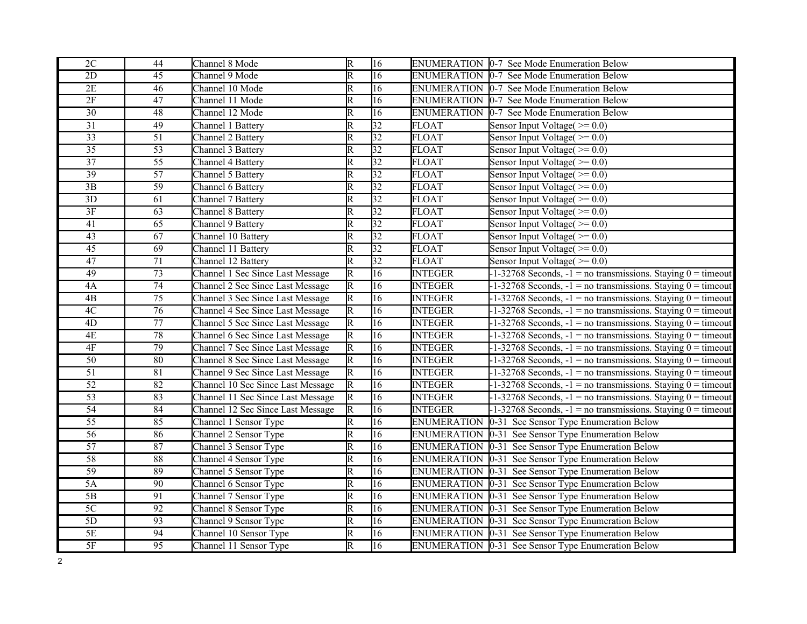| 2C              | 44              | Channel 8 Mode                    | $\overline{\mathsf{R}}$ | 16              |                    | ENUMERATION 0-7 See Mode Enumeration Below                         |
|-----------------|-----------------|-----------------------------------|-------------------------|-----------------|--------------------|--------------------------------------------------------------------|
| $\overline{2D}$ | $\overline{45}$ | Channel 9 Mode                    | $\overline{\mathrm{R}}$ | $\overline{16}$ |                    | ENUMERATION 0-7 See Mode Enumeration Below                         |
| 2E              | 46              | Channel 10 Mode                   | $\overline{\mathrm{R}}$ | 16              |                    | ENUMERATION 0-7 See Mode Enumeration Below                         |
| 2F              | $\overline{47}$ | Channel 11 Mode                   | R                       | $\overline{16}$ |                    | ENUMERATION 0-7 See Mode Enumeration Below                         |
| $\overline{30}$ | 48              | Channel 12 Mode                   | $\overline{\mathsf{R}}$ | 16              | <b>ENUMERATION</b> | 0-7 See Mode Enumeration Below                                     |
| $\overline{31}$ | $\overline{49}$ | Channel 1 Battery                 | $\overline{\mathsf{R}}$ | 32              | <b>FLOAT</b>       | Sensor Input Voltage( $\ge$ = 0.0)                                 |
| $\overline{33}$ | $\overline{51}$ | Channel 2 Battery                 | $\overline{\mathsf{R}}$ | 32              | <b>FLOAT</b>       | Sensor Input Voltage $(>= 0.0)$                                    |
| $\overline{35}$ | $\overline{53}$ | Channel 3 Battery                 | $\overline{\mathsf{R}}$ | 32              | <b>FLOAT</b>       | Sensor Input Voltage( $\geq 0.0$ )                                 |
| 37              | $\overline{55}$ | Channel 4 Battery                 | $\overline{\mathsf{R}}$ | 32              | FLOAT              | Sensor Input Voltage( $\geq 0.0$ )                                 |
| 39              | $\overline{57}$ | Channel 5 Battery                 | $\overline{\mathsf{R}}$ | $ 32\rangle$    | FLOAT              | Sensor Input Voltage $(>= 0.0)$                                    |
| $\overline{3B}$ | 59              | Channel 6 Battery                 | $\overline{\mathrm{R}}$ | $\overline{32}$ | <b>FLOAT</b>       | Sensor Input Voltage( $\geq 0.0$ )                                 |
| 3D              | 61              | Channel 7 Battery                 | $\overline{\text{R}}$   | 32              | <b>FLOAT</b>       | Sensor Input Voltage( $\geq 0.0$ )                                 |
| 3F              | 63              | Channel 8 Battery                 | $\overline{\mathrm{R}}$ | $\overline{32}$ | <b>FLOAT</b>       | Sensor Input Voltage( $\geq 0.0$ )                                 |
| 41              | 65              | Channel 9 Battery                 | $\overline{\mathsf{R}}$ | $\overline{32}$ | <b>FLOAT</b>       | Sensor Input Voltage $(>= 0.0)$                                    |
| 43              | $\overline{67}$ | Channel 10 Battery                | $\overline{\mathsf{R}}$ | 32              | <b>FLOAT</b>       | Sensor Input Voltage( $\geq 0.0$ )                                 |
| $\overline{45}$ | 69              | Channel 11 Battery                | $\overline{\mathsf{R}}$ | $\overline{32}$ | <b>FLOAT</b>       | Sensor Input Voltage( $\geq 0.0$ )                                 |
| 47              | 71              | Channel 12 Battery                | $\overline{\mathsf{R}}$ | $\overline{32}$ | FLOAT              | Sensor Input Voltage $(>= 0.0)$                                    |
| 49              | $\overline{73}$ | Channel 1 Sec Since Last Message  | $\overline{\mathbb{R}}$ | $\overline{16}$ | <b>INTEGER</b>     | $-1-32768$ Seconds, $-1 =$ no transmissions. Staying $0 =$ timeout |
| 4A              | $\overline{74}$ | Channel 2 Sec Since Last Message  | $\overline{\mathbb{R}}$ | $\overline{16}$ | <b>INTEGER</b>     | $-1-32768$ Seconds, $-1 =$ no transmissions. Staying $0 =$ timeout |
| $\overline{AB}$ | $\overline{75}$ | Channel 3 Sec Since Last Message  | $\overline{\mathsf{R}}$ | 16              | <b>INTEGER</b>     | $-1-32768$ Seconds, $-1 =$ no transmissions. Staying $0 =$ timeout |
| 4C              | $\overline{76}$ | Channel 4 Sec Since Last Message  | $\overline{\mathsf{R}}$ | $\overline{16}$ | <b>INTEGER</b>     | $-1-32768$ Seconds, $-1 =$ no transmissions. Staying $0 =$ timeout |
| $\overline{4D}$ | 77              | Channel 5 Sec Since Last Message  | $\overline{\mathrm{R}}$ | $\overline{16}$ | <b>INTEGER</b>     | $-1-32768$ Seconds, $-1 =$ no transmissions. Staying $0 =$ timeout |
| 4E              | 78              | Channel 6 Sec Since Last Message  | $\overline{\mathbb{R}}$ | 16              | <b>INTEGER</b>     | $-1-32768$ Seconds, $-1 =$ no transmissions. Staying $0 =$ timeout |
| 4F              | 79              | Channel 7 Sec Since Last Message  | $\overline{\mathbb{R}}$ | $\overline{16}$ | <b>INTEGER</b>     | $-1-32768$ Seconds, $-1 =$ no transmissions. Staying $0 =$ timeout |
| $\overline{50}$ | 80              | Channel 8 Sec Since Last Message  | $\overline{\mathbb{R}}$ | $\overline{16}$ | <b>INTEGER</b>     | $-1-32768$ Seconds, $-1 =$ no transmissions. Staying $0 =$ timeout |
| $\overline{51}$ | 81              | Channel 9 Sec Since Last Message  | $\overline{\mathsf{R}}$ | 16              | <b>INTEGER</b>     | $-1-32768$ Seconds, $-1 =$ no transmissions. Staying $0 =$ timeout |
| $\overline{52}$ | 82              | Channel 10 Sec Since Last Message | $\overline{\mathbb{R}}$ | $\overline{16}$ | <b>INTEGER</b>     | $-1-32768$ Seconds, $-1 =$ no transmissions. Staying $0 =$ timeout |
| $\overline{53}$ | 83              | Channel 11 Sec Since Last Message | $\overline{\mathsf{R}}$ | 16              | <b>INTEGER</b>     | $-1-32768$ Seconds, $-1$ = no transmissions. Staying $0 =$ timeout |
| $\overline{54}$ | 84              | Channel 12 Sec Since Last Message | R                       | 16              | <b>INTEGER</b>     | $-1-32768$ Seconds, $-1 =$ no transmissions. Staying $0 =$ timeout |
| $\overline{55}$ | 85              | Channel 1 Sensor Type             | $\overline{\mathsf{R}}$ | $\overline{16}$ | <b>ENUMERATION</b> | 0-31 See Sensor Type Enumeration Below                             |
| $\overline{56}$ | 86              | Channel 2 Sensor Type             | $\overline{\mathsf{R}}$ | $\overline{16}$ |                    | ENUMERATION 0-31 See Sensor Type Enumeration Below                 |
| 57              | 87              | Channel 3 Sensor Type             | $\overline{\mathsf{R}}$ | 16              |                    | ENUMERATION 0-31 See Sensor Type Enumeration Below                 |
| $\overline{58}$ | 88              | Channel 4 Sensor Type             | $\overline{\mathrm{R}}$ | $\overline{16}$ |                    | ENUMERATION 0-31 See Sensor Type Enumeration Below                 |
| 59              | 89              | Channel 5 Sensor Type             | $\overline{\mathsf{R}}$ | 16              |                    | ENUMERATION 0-31 See Sensor Type Enumeration Below                 |
| 5A              | $\overline{90}$ | Channel 6 Sensor Type             | $\overline{\mathsf{R}}$ | 16              |                    | ENUMERATION 0-31 See Sensor Type Enumeration Below                 |
| $\overline{5B}$ | 91              | Channel 7 Sensor Type             | $\overline{\mathsf{R}}$ | $\overline{16}$ | <b>ENUMERATION</b> | 0-31 See Sensor Type Enumeration Below                             |
| 5C              | 92              | Channel 8 Sensor Type             | $\overline{\mathsf{R}}$ | $\overline{16}$ | <b>ENUMERATION</b> | 0-31 See Sensor Type Enumeration Below                             |
| 5D              | 93              | Channel 9 Sensor Type             | $\overline{R}$          | 16              |                    | ENUMERATION 0-31 See Sensor Type Enumeration Below                 |
| $\overline{5E}$ | $\overline{94}$ | Channel 10 Sensor Type            | $\overline{\mathsf{R}}$ | $\overline{16}$ |                    | ENUMERATION 0-31 See Sensor Type Enumeration Below                 |
| 5F              | 95              | Channel 11 Sensor Type            | R                       | $\overline{16}$ |                    | ENUMERATION 0-31 See Sensor Type Enumeration Below                 |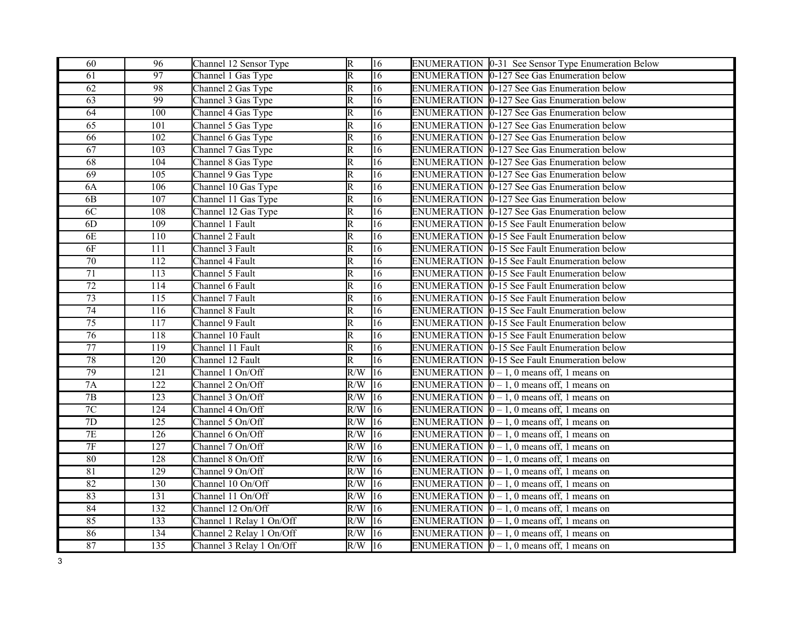| 60              | 96               | Channel 12 Sensor Type   | $\overline{R}$          | 16              | ENUMERATION 0-31 See Sensor Type Enumeration Below       |
|-----------------|------------------|--------------------------|-------------------------|-----------------|----------------------------------------------------------|
| 61              | $\overline{97}$  | Channel 1 Gas Type       | $\overline{\mathrm{R}}$ | $\overline{16}$ | ENUMERATION 0-127 See Gas Enumeration below              |
| 62              | 98               | Channel 2 Gas Type       | $\mathbb R$             | $\overline{16}$ | ENUMERATION 0-127 See Gas Enumeration below              |
| $\overline{63}$ | 99               | Channel 3 Gas Type       | $\overline{\text{R}}$   | 16              | ENUMERATION 0-127 See Gas Enumeration below              |
| 64              | 100              | Channel 4 Gas Type       | $\overline{\mathrm{R}}$ | 16              | ENUMERATION 0-127 See Gas Enumeration below              |
| 65              | 101              | Channel 5 Gas Type       | $\overline{\mathrm{R}}$ | 16              | ENUMERATION 0-127 See Gas Enumeration below              |
| 66              | 102              | Channel 6 Gas Type       | $\mathbb R$             | 16              | ENUMERATION 0-127 See Gas Enumeration below              |
| 67              | 103              | Channel 7 Gas Type       | $\overline{\mathrm{R}}$ | $\overline{16}$ | ENUMERATION 0-127 See Gas Enumeration below              |
| 68              | 104              | Channel 8 Gas Type       | $\overline{\mathrm{R}}$ | 16              | ENUMERATION 0-127 See Gas Enumeration below              |
| 69              | 105              | Channel 9 Gas Type       | $\overline{\mathrm{R}}$ | 16              | ENUMERATION 0-127 See Gas Enumeration below              |
| 6A              | 106              | Channel 10 Gas Type      | $\mathbb R$             | $\overline{16}$ | ENUMERATION 0-127 See Gas Enumeration below              |
| 6B              | 107              | Channel 11 Gas Type      | R                       | 16              | ENUMERATION 0-127 See Gas Enumeration below              |
| 6C              | 108              | Channel 12 Gas Type      | $\overline{\mathsf{R}}$ | 16              | ENUMERATION 0-127 See Gas Enumeration below              |
| 6D              | 109              | Channel 1 Fault          | $\overline{\mathsf{R}}$ | 16              | ENUMERATION 0-15 See Fault Enumeration below             |
| 6E              | 110              | Channel 2 Fault          | $\overline{\text{R}}$   | 16              | ENUMERATION 0-15 See Fault Enumeration below             |
| 6F              | 111              | Channel 3 Fault          | $\overline{\mathrm{R}}$ | $\overline{16}$ | ENUMERATION 0-15 See Fault Enumeration below             |
| $\overline{70}$ | 112              | Channel 4 Fault          | $\overline{\mathrm{R}}$ | $\overline{16}$ | ENUMERATION 0-15 See Fault Enumeration below             |
| 71              | 113              | Channel 5 Fault          | $\overline{\mathsf{R}}$ | $\overline{16}$ | ENUMERATION 0-15 See Fault Enumeration below             |
| $\overline{72}$ | 114              | Channel 6 Fault          | $\overline{\mathsf{R}}$ | $\overline{16}$ | ENUMERATION 0-15 See Fault Enumeration below             |
| $\overline{73}$ | $\overline{115}$ | Channel 7 Fault          | $\overline{\mathrm{R}}$ | $\overline{16}$ | <b>ENUMERATION 0-15 See Fault Enumeration below</b>      |
| 74              | 116              | Channel 8 Fault          | $\overline{\mathsf{R}}$ | 16              | ENUMERATION 0-15 See Fault Enumeration below             |
| $\overline{75}$ | 117              | Channel 9 Fault          | $\overline{\mathsf{R}}$ | $\overline{16}$ | <b>ENUMERATION 0-15 See Fault Enumeration below</b>      |
| $\overline{76}$ | 118              | Channel 10 Fault         | $\overline{\mathsf{R}}$ | $\overline{16}$ | ENUMERATION 0-15 See Fault Enumeration below             |
| $\overline{77}$ | 119              | Channel 11 Fault         | $\overline{\mathsf{R}}$ | 16              | ENUMERATION 0-15 See Fault Enumeration below             |
| $\overline{78}$ | 120              | Channel 12 Fault         | $\overline{\mathsf{R}}$ | $\overline{16}$ | ENUMERATION 0-15 See Fault Enumeration below             |
| 79              | $\overline{121}$ | Channel 1 On/Off         | R/W                     | $ 16\rangle$    | ENUMERATION $\vert 0-1, 0 \vert$ means off, 1 means on   |
| 7A              | 122              | Channel 2 On/Off         | R/W                     | $ 16\rangle$    | ENUMERATION $\vert 0-1, 0 \vert$ means off, 1 means on   |
| $\overline{7B}$ | 123              | Channel 3 On/Off         | R/W                     | 16              | ENUMERATION $\vert 0 - 1$ , 0 means off, 1 means on      |
| $7\mathrm{C}$   | 124              | Channel 4 On/Off         | R/W                     | 16              | ENUMERATION $\vert 0 - 1$ , 0 means off, 1 means on      |
| $\overline{7D}$ | 125              | Channel 5 On/Off         | $R/W$ 16                |                 | ENUMERATION $\vert 0-1, 0 \vert$ means off, 1 means on   |
| 7E              | 126              | Channel 6 On/Off         | $R/W$ 16                |                 | ENUMERATION $[0 - 1, 0$ means off, 1 means on            |
| $\overline{7F}$ | 127              | Channel 7 On/Off         | $R/W$ 16                |                 | ENUMERATION $\vert 0-1, 0 \vert$ means off, 1 means on   |
| 80              | 128              | Channel 8 On/Off         | $R/W$ 16                |                 | ENUMERATION $[0 - 1, 0$ means off, 1 means on            |
| 81              | $\overline{129}$ | Channel 9 On/Off         | R/W                     | $\sqrt{16}$     | ENUMERATION $\vert 0-1, 0 \vert$ means off, 1 means on   |
| 82              | 130              | Channel 10 On/Off        | R/W                     | 16              | ENUMERATION $[0 - 1, 0$ means off, 1 means on            |
| 83              | 131              | Channel 11 On/Off        | R/W                     | 16              | ENUMERATION $\vert 0-1, 0 \vert$ means off, 1 means on   |
| 84              | 132              | Channel 12 On/Off        | R/W                     | 16              | ENUMERATION $\vert 0-1, 0 \vert$ means off, 1 means on   |
| 85              | 133              | Channel 1 Relay 1 On/Off | R/W                     | 16              | ENUMERATION $\vert 0-1, 0 \vert$ means off, 1 means on   |
| 86              | 134              | Channel 2 Relay 1 On/Off | R/W                     | 16              | ENUMERATION $\vert 0-1, 0 \vert$ means off, 1 means on   |
| 87              | 135              | Channel 3 Relay 1 On/Off | $R/W$ 16                |                 | ENUMERATION $\vert 0-1, 0 \rangle$ means off, 1 means on |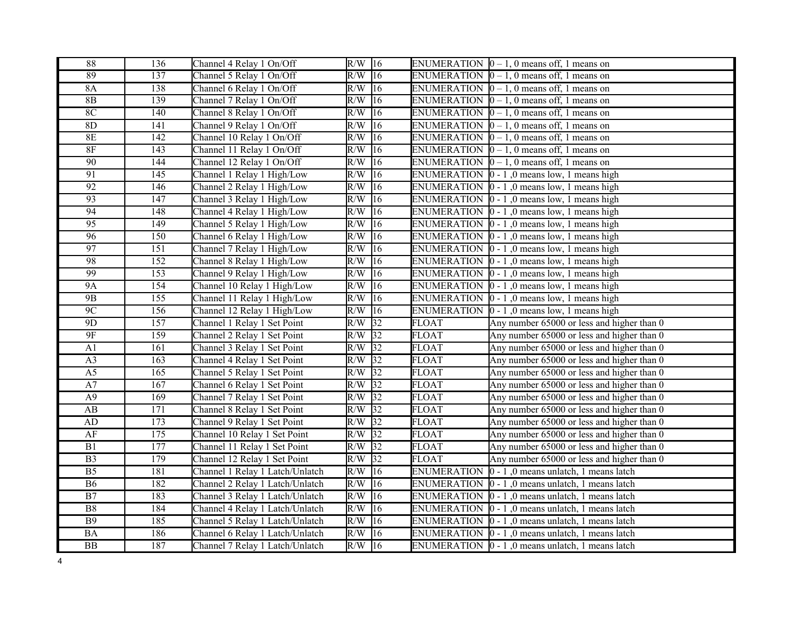| 88                     | 136              | Channel 4 Relay 1 On/Off        | $R/W$ 16                |                    | ENUMERATION $\vert 0-1, 0 \vert$ means off, 1 means on           |
|------------------------|------------------|---------------------------------|-------------------------|--------------------|------------------------------------------------------------------|
| 89                     | 137              | Channel 5 Relay 1 On/Off        | $R/W$ 16                |                    | ENUMERATION $\vert 0 - 1, 0 \vert$ means off, 1 means on         |
| <b>8A</b>              | 138              | Channel 6 Relay 1 On/Off        | $R/W$ 16                |                    | ENUMERATION $\vert 0-1, 0 \vert$ means off, 1 means on           |
| 8B                     | 139              | Channel 7 Relay 1 On/Off        | R/W<br>$ 16\rangle$     |                    | ENUMERATION $[0 - 1, 0$ means off, 1 means on                    |
| 8C                     | 140              | Channel 8 Relay 1 On/Off        | R/W<br> 16              |                    | ENUMERATION $[0 - 1, 0$ means off, 1 means on                    |
| 8D                     | 141              | Channel 9 Relay 1 On/Off        | R/W<br>16               |                    | ENUMERATION $\vert 0 - 1$ , 0 means off, 1 means on              |
| 8E                     | 142              | Channel 10 Relay 1 On/Off       | R/W<br>16               |                    | ENUMERATION $\vert 0-1, 0 \vert$ means off, 1 means on           |
| $8F$                   | 143              | Channel 11 Relay 1 On/Off       | $ 16\rangle$<br>R/W     |                    | ENUMERATION $\vert 0-1, 0 \vert$ means off, 1 means on           |
| 90                     | 144              | Channel 12 Relay 1 On/Off       | R/W<br>16               |                    | ENUMERATION $[0 - 1, 0$ means off, 1 means on                    |
| 91                     | 145              | Channel 1 Relay 1 High/Low      | R/W<br>16               |                    | ENUMERATION $\vert 0 - 1 \vert$ , 0 means low, 1 means high      |
| 92                     | 146              | Channel 2 Relay 1 High/Low      | $\overline{R/W}$<br> 16 |                    | ENUMERATION $\vert 0 - 1 \vert$ , 0 means low, 1 means high      |
| 93                     | 147              | Channel 3 Relay 1 High/Low      | R/W<br>16               |                    | ENUMERATION $\vert 0 - 1 \vert$ , 0 means low, 1 means high      |
| 94                     | 148              | Channel 4 Relay 1 High/Low      | R/W<br>16               |                    | ENUMERATION $\vert 0 - 1 \vert$ , 0 means low, 1 means high      |
| $\overline{95}$        | 149              | Channel 5 Relay 1 High/Low      | R/W<br>16               |                    | ENUMERATION $\vert 0 - 1 \vert$ , 0 means low, 1 means high      |
| $\overline{96}$        | 150              | Channel 6 Relay 1 High/Low      | R/W<br>$ 16\rangle$     |                    | ENUMERATION $\vert 0 - 1 \vert$ , 0 means low, 1 means high      |
| 97                     | 151              | Channel 7 Relay 1 High/Low      | 16<br>R/W               |                    | ENUMERATION $\vert 0 - 1 \vert$ , 0 means low, 1 means high      |
| 98                     | $\overline{152}$ | Channel 8 Relay 1 High/Low      | R/W<br>$ 16\rangle$     |                    | ENUMERATION $\vert 0 - 1 \vert$ , 0 means low, 1 means high      |
| 99                     | 153              | Channel 9 Relay 1 High/Low      | R/W<br> 16              |                    | ENUMERATION $\vert 0 - 1 \vert$ , 0 means low, 1 means high      |
| <b>9A</b>              | 154              | Channel 10 Relay 1 High/Low     | R/W<br>$ 16\rangle$     |                    | ENUMERATION $\vert 0 - 1 \vert$ , 0 means low, 1 means high      |
| 9B                     | 155              | Channel 11 Relay 1 High/Low     | R/W<br>16               |                    | ENUMERATION $\vert 0 - 1 \vert$ , 0 means low, 1 means high      |
| 9C                     | 156              | Channel 12 Relay 1 High/Low     | R/W<br> 16              |                    | ENUMERATION $\vert 0 - 1 \vert$ , 0 means low, 1 means high      |
| 9D                     | 157              | Channel 1 Relay 1 Set Point     | R/W<br>$\sqrt{32}$      | <b>FLOAT</b>       | Any number 65000 or less and higher than 0                       |
| $9F$                   | 159              | Channel 2 Relay 1 Set Point     | $\sqrt{32}$<br>R/W      | <b>FLOAT</b>       | Any number 65000 or less and higher than 0                       |
| A1                     | 161              | Channel 3 Relay 1 Set Point     | 32 <br>R/W              | <b>FLOAT</b>       | Any number 65000 or less and higher than 0                       |
| A <sub>3</sub>         | 163              | Channel 4 Relay 1 Set Point     | $R/W$ 32                | <b>FLOAT</b>       | Any number 65000 or less and higher than 0                       |
| A <sub>5</sub>         | $\overline{165}$ | Channel 5 Relay 1 Set Point     | R/W<br>$\sqrt{32}$      | <b>FLOAT</b>       | Any number 65000 or less and higher than 0                       |
| A7                     | 167              | Channel 6 Relay 1 Set Point     | R/W<br>$\sqrt{32}$      | <b>FLOAT</b>       | Any number 65000 or less and higher than 0                       |
| A9                     | 169              | Channel 7 Relay 1 Set Point     | $R/W$ 32                | <b>FLOAT</b>       | Any number 65000 or less and higher than 0                       |
| $\mathbf{A}\mathbf{B}$ | 171              | Channel 8 Relay 1 Set Point     | $R/W$ 32                | <b>FLOAT</b>       | Any number 65000 or less and higher than 0                       |
| ${\rm AD}$             | 173              | Channel 9 Relay 1 Set Point     | $R/W$ 32                | <b>FLOAT</b>       | Any number 65000 or less and higher than 0                       |
| AF                     | $\overline{175}$ | Channel 10 Relay 1 Set Point    | $R/W$ 32                | <b>FLOAT</b>       | Any number 65000 or less and higher than 0                       |
| B1                     | 177              | Channel 11 Relay 1 Set Point    | 32<br>R/W               | <b>FLOAT</b>       | Any number 65000 or less and higher than 0                       |
| $\overline{B3}$        | 179              | Channel 12 Relay 1 Set Point    | $\overline{32}$<br>R/W  | <b>FLOAT</b>       | Any number 65000 or less and higher than 0                       |
| $\overline{B5}$        | 181              | Channel 1 Relay 1 Latch/Unlatch | R/W<br> 16              | <b>ENUMERATION</b> | $ 0 - 1 $ , 0 means unlatch, 1 means latch                       |
| <b>B6</b>              | 182              | Channel 2 Relay 1 Latch/Unlatch | R/W<br>16               | <b>ENUMERATION</b> | $0 - 1$ , 0 means unlatch, 1 means latch                         |
| $\rm B7$               | 183              | Channel 3 Relay 1 Latch/Unlatch | R/W<br>16               | <b>ENUMERATION</b> | $ 0 - 1 $ , 0 means unlatch, 1 means latch                       |
| ${\bf B8}$             | 184              | Channel 4 Relay 1 Latch/Unlatch | R/W<br>16               |                    | ENUMERATION $\vert 0 - 1 \vert$ , 0 means unlatch, 1 means latch |
| <b>B9</b>              | 185              | Channel 5 Relay 1 Latch/Unlatch | R/W<br>$ 16\rangle$     |                    | ENUMERATION 0 - 1,0 means unlatch, 1 means latch                 |
| BA                     | 186              | Channel 6 Relay 1 Latch/Unlatch | 16<br>R/W               |                    | ENUMERATION $\vert 0 - 1 \vert$ , 0 means unlatch, 1 means latch |
| BB                     | 187              | Channel 7 Relay 1 Latch/Unlatch | $R/W$ 16                |                    | ENUMERATION $\vert 0 - 1 \vert$ , 0 means unlatch, 1 means latch |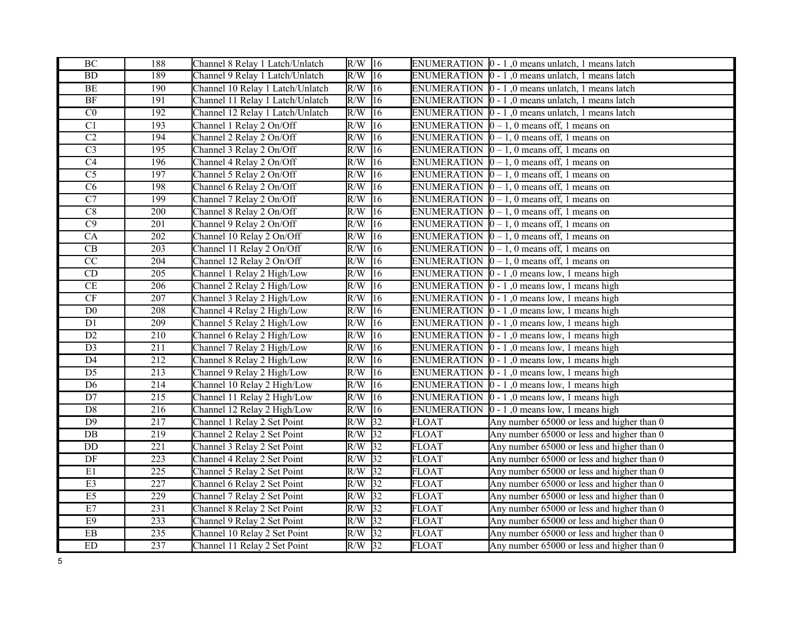| $\rm BC$               | 188              | Channel 8 Relay 1 Latch/Unlatch  | $R/W$ 16 |                 |                    | ENUMERATION  0 - 1,0 means unlatch, 1 means latch                |
|------------------------|------------------|----------------------------------|----------|-----------------|--------------------|------------------------------------------------------------------|
| BD                     | 189              | Channel 9 Relay 1 Latch/Unlatch  | R/W      | 16              |                    | ENUMERATION $\vert 0 - 1 \vert$ , 0 means unlatch, 1 means latch |
| BE                     | 190              | Channel 10 Relay 1 Latch/Unlatch | R/W      | $ 16\rangle$    |                    | ENUMERATION $\vert 0 - 1 \vert$ , 0 means unlatch, 1 means latch |
| BF                     | 191              | Channel 11 Relay 1 Latch/Unlatch | R/W      | $ 16\rangle$    |                    | ENUMERATION $\vert 0 - 1 \vert$ , 0 means unlatch, 1 means latch |
| $\overline{C}0$        | 192              | Channel 12 Relay 1 Latch/Unlatch | R/W      | 16              | <b>ENUMERATION</b> | $ 0 - 1 $ , 0 means unlatch, 1 means latch                       |
| $\overline{C1}$        | 193              | Channel 1 Relay 2 On/Off         | R/W      | 16              |                    | ENUMERATION $\vert 0-1, 0 \rangle$ means off, 1 means on         |
| C2                     | 194              | Channel 2 Relay 2 On/Off         | R/W      | 16              |                    | ENUMERATION $\vert 0 - 1$ , 0 means off, 1 means on              |
| $\overline{C3}$        | 195              | Channel 3 Relay 2 On/Off         | R/W      | 16              |                    | ENUMERATION $\vert 0-1, 0 \vert$ means off, 1 means on           |
| $\overline{C4}$        | 196              | Channel 4 Relay 2 On/Off         | R/W      | 16              |                    | ENUMERATION $[0 - 1, 0$ means off, 1 means on                    |
| $\overline{\text{C5}}$ | 197              | Channel 5 Relay 2 On/Off         | R/W      | 16              |                    | ENUMERATION $\vert 0 - 1, 0 \rangle$ means off, 1 means on       |
| $\overline{C6}$        | 198              | Channel 6 Relay 2 On/Off         | R/W      | $\overline{16}$ |                    | ENUMERATION $\vert 0-1, 0 \vert$ means off, 1 means on           |
| $\overline{C7}$        | 199              | Channel 7 Relay 2 On/Off         | R/W      | $ 16\rangle$    |                    | ENUMERATION $[0 - 1, 0$ means off, 1 means on                    |
| C8                     | 200              | Channel 8 Relay 2 On/Off         | R/W      | 16              |                    | ENUMERATION $\vert 0 - 1, 0 \rangle$ means off, 1 means on       |
| $\overline{C9}$        | 201              | Channel 9 Relay 2 On/Off         | R/W      | 16              |                    | ENUMERATION $[0 - 1, 0$ means off, 1 means on                    |
| CA                     | 202              | Channel 10 Relay 2 On/Off        | R/W      | 16              |                    | ENUMERATION $[0 - 1, 0$ means off, 1 means on                    |
| $\overline{\text{CB}}$ | 203              | Channel 11 Relay 2 On/Off        | R/W      | 16              |                    | ENUMERATION $\vert 0-1, 0 \rangle$ means off, 1 means on         |
| $\overline{CC}$        | 204              | Channel 12 Relay 2 On/Off        | R/W      | 16              |                    | ENUMERATION $[0 - 1, 0$ means off, 1 means on                    |
| CD                     | 205              | Channel 1 Relay 2 High/Low       | R/W      | 16              |                    | ENUMERATION $\vert 0 - 1 \vert$ , 0 means low, 1 means high      |
| CE                     | 206              | Channel 2 Relay 2 High/Low       | R/W      | $ 16\rangle$    |                    | ENUMERATION $\vert 0 - 1 \vert$ , 0 means low, 1 means high      |
| $\overline{\text{CF}}$ | $\overline{207}$ | Channel 3 Relay 2 High/Low       | R/W      | 16              |                    | ENUMERATION $\vert 0 - 1 \vert$ , 0 means low, 1 means high      |
| D <sub>0</sub>         | 208              | Channel 4 Relay 2 High/Low       | R/W      | $ 16\rangle$    |                    | ENUMERATION $\vert 0 - 1 \vert$ , 0 means low, 1 means high      |
| D1                     | 209              | Channel 5 Relay 2 High/Low       | R/W      | 16              |                    | ENUMERATION $\vert 0 - 1 \vert$ , 0 means low, 1 means high      |
| $\overline{D2}$        | $\overline{210}$ | Channel 6 Relay 2 High/Low       | R/W      | $ 16\rangle$    |                    | ENUMERATION $\vert 0 - 1 \vert$ , 0 means low, 1 means high      |
| $\overline{D3}$        | 211              | Channel 7 Relay 2 High/Low       | R/W      | $ 16\rangle$    |                    | ENUMERATION $\vert 0 - 1 \vert$ , 0 means low, 1 means high      |
| $\overline{D4}$        | $\overline{212}$ | Channel 8 Relay 2 High/Low       | R/W      | $ 16\rangle$    |                    | ENUMERATION $\vert 0 - 1 \vert$ , 0 means low, 1 means high      |
| $\overline{D5}$        | $\overline{213}$ | Channel 9 Relay 2 High/Low       | R/W      | 16              | <b>ENUMERATION</b> | $ 0 - 1 $ , 0 means low, 1 means high                            |
| D6                     | 214              | Channel 10 Relay 2 High/Low      | R/W      | $ 16\rangle$    | <b>ENUMERATION</b> | $ 0 - 1 $ , 0 means low, 1 means high                            |
| $\overline{D7}$        | $\overline{215}$ | Channel 11 Relay 2 High/Low      | R/W      | 16              | <b>ENUMERATION</b> | $ 0 - 1 $ , 0 means low, 1 means high                            |
| $\mathbf{D}8$          | 216              | Channel 12 Relay 2 High/Low      | R/W      | 16              | <b>ENUMERATION</b> | $ 0 - 1 $ , 0 means low, 1 means high                            |
| $\overline{D9}$        | 217              | Channel 1 Relay 2 Set Point      | R/W      | 32              | <b>FLOAT</b>       | Any number 65000 or less and higher than 0                       |
| DB                     | 219              | Channel 2 Relay 2 Set Point      | $R/W$ 32 |                 | FLOAT              | Any number 65000 or less and higher than 0                       |
| $\rm DD$               | 221              | Channel 3 Relay 2 Set Point      | $R/W$ 32 |                 | <b>FLOAT</b>       | Any number 65000 or less and higher than 0                       |
| DF                     | 223              | Channel 4 Relay 2 Set Point      | $R/W$ 32 |                 | <b>FLOAT</b>       | Any number 65000 or less and higher than 0                       |
| E1                     | $\overline{225}$ | Channel 5 Relay 2 Set Point      | R/W      | 32              | <b>FLOAT</b>       | Any number 65000 or less and higher than 0                       |
| E3                     | $\overline{227}$ | Channel 6 Relay 2 Set Point      | R/W      | 32              | <b>FLOAT</b>       | Any number 65000 or less and higher than 0                       |
| E5                     | 229              | Channel 7 Relay 2 Set Point      | $R/W$ 32 |                 | <b>FLOAT</b>       | Any number 65000 or less and higher than 0                       |
| E7                     | 231              | Channel 8 Relay 2 Set Point      | $R/W$ 32 |                 | <b>FLOAT</b>       | Any number 65000 or less and higher than 0                       |
| $\mathrm{E}9$          | 233              | Channel 9 Relay 2 Set Point      | $R/W$ 32 |                 | <b>FLOAT</b>       | Any number 65000 or less and higher than 0                       |
| $\overline{\text{EB}}$ | $\overline{235}$ | Channel 10 Relay 2 Set Point     | $R/W$ 32 |                 | <b>FLOAT</b>       | Any number 65000 or less and higher than 0                       |
| ED                     | 237              | Channel 11 Relay 2 Set Point     | $R/W$ 32 |                 | <b>FLOAT</b>       | Any number 65000 or less and higher than 0                       |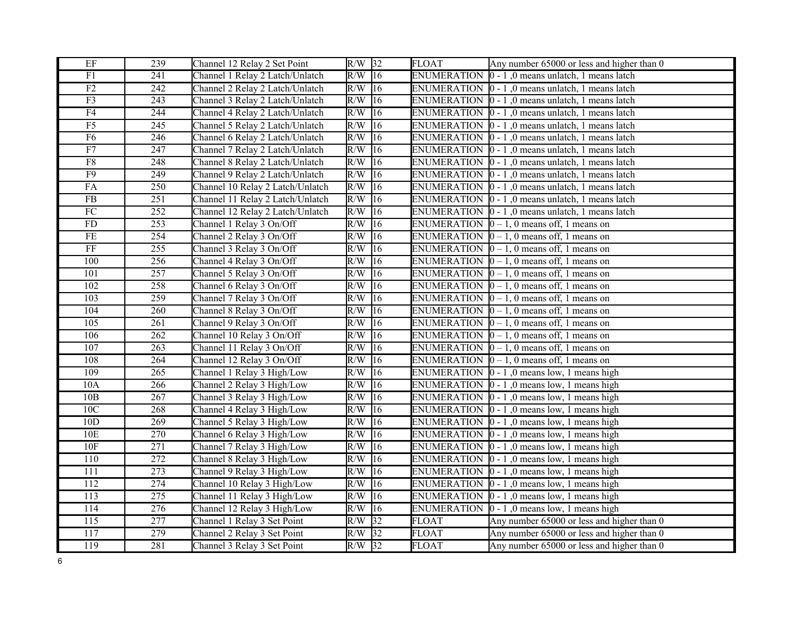| EF                     | 239              | Channel 12 Relay 2 Set Point     | $R/W$ 32            |                 | <b>FLOAT</b>       | Any number 65000 or less and higher than 0                       |
|------------------------|------------------|----------------------------------|---------------------|-----------------|--------------------|------------------------------------------------------------------|
| $\overline{F1}$        | $\overline{241}$ | Channel 1 Relay 2 Latch/Unlatch  | $R/W$ 16            |                 | <b>ENUMERATION</b> | $ 0 - 1 $ , 0 means unlatch, 1 means latch                       |
| F2                     | $\overline{242}$ | Channel 2 Relay 2 Latch/Unlatch  | $R/W$ <sup>16</sup> |                 |                    | ENUMERATION  0 - 1,0 means unlatch, 1 means latch                |
| F3                     | 243              | Channel 3 Relay 2 Latch/Unlatch  | R/W                 | $ 16\rangle$    | <b>ENUMERATION</b> | $0 - 1$ , 0 means unlatch, 1 means latch                         |
| F4                     | 244              | Channel 4 Relay 2 Latch/Unlatch  | R/W                 | 16              | <b>ENUMERATION</b> | $0 - 1$ , 0 means unlatch, 1 means latch                         |
| $\overline{F5}$        | 245              | Channel 5 Relay 2 Latch/Unlatch  | R/W                 | 16              | <b>ENUMERATION</b> | $0 - 1$ , 0 means unlatch, 1 means latch                         |
| F6                     | 246              | Channel 6 Relay 2 Latch/Unlatch  | R/W                 | 16              |                    | ENUMERATION $\vert 0 - 1 \vert$ , 0 means unlatch, 1 means latch |
| F7                     | 247              | Channel 7 Relay 2 Latch/Unlatch  | R/W                 | 16              |                    | ENUMERATION $\vert 0 - 1 \vert$ , 0 means unlatch, 1 means latch |
| ${\rm F}8$             | 248              | Channel 8 Relay 2 Latch/Unlatch  | R/W                 | 16              | <b>ENUMERATION</b> | $0 - 1$ , 0 means unlatch, 1 means latch                         |
| F <sub>9</sub>         | 249              | Channel 9 Relay 2 Latch/Unlatch  | R/W                 | 16              | <b>ENUMERATION</b> | $0 - 1$ , 0 means unlatch, 1 means latch                         |
| FA                     | $\overline{250}$ | Channel 10 Relay 2 Latch/Unlatch | R/W                 | $\overline{16}$ |                    | ENUMERATION  0 - 1,0 means unlatch, 1 means latch                |
| FB                     | 251              | Channel 11 Relay 2 Latch/Unlatch | R/W                 | 16              |                    | ENUMERATION $\vert 0 - 1 \vert$ , 0 means unlatch, 1 means latch |
| ${\rm FC}$             | 252              | Channel 12 Relay 2 Latch/Unlatch | R/W                 | 16              |                    | ENUMERATION $\vert 0 - 1 \vert$ , 0 means unlatch, 1 means latch |
| FD                     | 253              | Channel 1 Relay 3 On/Off         | R/W                 | 16              |                    | ENUMERATION $\vert 0-1, 0 \vert$ means off, 1 means on           |
| $\rm FE$               | 254              | Channel 2 Relay 3 On/Off         | R/W                 | 16              |                    | ENUMERATION $[0 - 1, 0$ means off, 1 means on                    |
| $\overline{\text{FF}}$ | 255              | Channel 3 Relay 3 On/Off         | R/W                 | $ 16\rangle$    |                    | ENUMERATION $\vert 0-1, 0 \vert$ means off, 1 means on           |
| 100                    | 256              | Channel 4 Relay 3 On/Off         | $R/W$ 16            |                 |                    | ENUMERATION $[0 - 1, 0$ means off, 1 means on                    |
| 101                    | 257              | Channel 5 Relay 3 On/Off         | R/W                 | 16              |                    | ENUMERATION $\vert 0-1, 0 \vert$ means off, 1 means on           |
| 102                    | 258              | Channel 6 Relay 3 On/Off         | R/W                 | 16              |                    | ENUMERATION $[0 - 1, 0$ means off, 1 means on                    |
| $\overline{103}$       | $\overline{259}$ | Channel 7 Relay 3 On/Off         | R/W                 | 16              |                    | ENUMERATION $\vert 0-1, 0 \vert$ means off, 1 means on           |
| 104                    | 260              | Channel 8 Relay 3 On/Off         | R/W                 | $ 16\rangle$    |                    | ENUMERATION $[0 - 1, 0$ means off, 1 means on                    |
| 105                    | 261              | Channel 9 Relay 3 On/Off         | R/W                 | 16              |                    | ENUMERATION $\vert 0-1, 0 \vert$ means off, 1 means on           |
| 106                    | $\overline{262}$ | Channel 10 Relay 3 On/Off        | R/W                 | $ 16\rangle$    |                    | ENUMERATION $\vert 0-1, 0 \vert$ means off, 1 means on           |
| 107                    | 263              | Channel 11 Relay 3 On/Off        | R/W                 | 16              |                    | ENUMERATION $[0 - 1, 0$ means off, 1 means on                    |
| 108                    | 264              | Channel 12 Relay 3 On/Off        | R/W                 | $ 16\rangle$    |                    | ENUMERATION $\vert 0-1, 0 \vert$ means off, 1 means on           |
| 109                    | 265              | Channel 1 Relay 3 High/Low       | R/W                 | 16              |                    | ENUMERATION $\vert 0 - 1 \vert$ , 0 means low, 1 means high      |
| 10A                    | 266              | Channel 2 Relay 3 High/Low       | R/W                 | $ 16\rangle$    |                    | ENUMERATION $\vert 0 - 1 \vert$ , 0 means low, 1 means high      |
| 10B                    | $\overline{267}$ | Channel 3 Relay 3 High/Low       | R/W                 | 16              |                    | ENUMERATION $\vert 0 - 1 \vert$ , 0 means low, 1 means high      |
| 10C                    | 268              | Channel 4 Relay 3 High/Low       | R/W                 | 16              |                    | ENUMERATION $\vert 0 - 1 \vert$ , 0 means low, 1 means high      |
| 10D                    | 269              | Channel 5 Relay 3 High/Low       | R/W                 | 16              |                    | ENUMERATION $\vert 0 - 1 \vert$ , 0 means low, 1 means high      |
| 10E                    | $\overline{270}$ | Channel 6 Relay 3 High/Low       | R/W                 | 16              |                    | ENUMERATION $\vert 0 - 1 \vert$ , 0 means low, 1 means high      |
| $10F$                  | 271              | Channel 7 Relay 3 High/Low       | R/W                 | 16              |                    | ENUMERATION $\vert 0 - 1 \vert$ , 0 means low, 1 means high      |
| 110                    | 272              | Channel 8 Relay 3 High/Low       | R/W                 | 16              |                    | ENUMERATION $\vert 0 - 1 \vert$ , 0 means low, 1 means high      |
| 111                    | $\overline{273}$ | Channel 9 Relay 3 High/Low       | R/W                 | 16              |                    | ENUMERATION $\vert 0 - 1 \vert$ , 0 means low, 1 means high      |
| 112                    | $\overline{274}$ | Channel 10 Relay 3 High/Low      | R/W                 | 16              |                    | ENUMERATION $\vert 0 - 1 \vert$ , 0 means low, 1 means high      |
| 113                    | 275              | Channel 11 Relay 3 High/Low      | R/W                 | 16              | <b>ENUMERATION</b> | $ 0 - 1 $ , 0 means low, 1 means high                            |
| 114                    | $\overline{276}$ | Channel 12 Relay 3 High/Low      | R/W                 | 16              | <b>ENUMERATION</b> | $\vert$ 0 - 1,0 means low, 1 means high                          |
| 115                    | 277              | Channel 1 Relay 3 Set Point      | R/W                 | 32              | FLOAT              | Any number 65000 or less and higher than 0                       |
| 117                    | 279              | Channel 2 Relay 3 Set Point      | $R/W$ 32            |                 | <b>FLOAT</b>       | Any number 65000 or less and higher than 0                       |
| 119                    | 281              | Channel 3 Relay 3 Set Point      | $R/W$ 32            |                 | <b>FLOAT</b>       | Any number 65000 or less and higher than 0                       |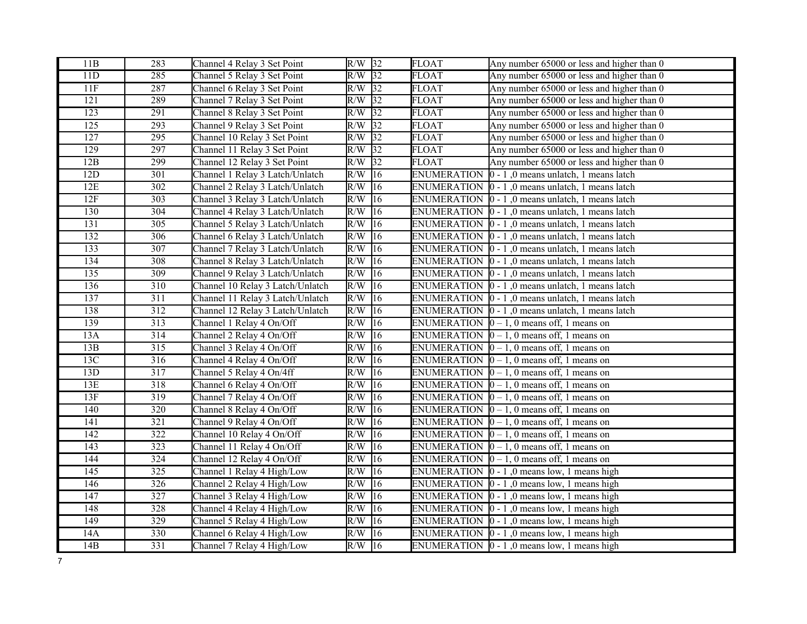| 11B | 283              | Channel 4 Relay 3 Set Point      | $R/W$ 32 |                 | <b>FLOAT</b>       | Any number 65000 or less and higher than 0                       |
|-----|------------------|----------------------------------|----------|-----------------|--------------------|------------------------------------------------------------------|
| 11D | 285              | Channel 5 Relay 3 Set Point      | $R/W$ 32 |                 | <b>FLOAT</b>       | Any number 65000 or less and higher than 0                       |
| 11F | 287              | Channel 6 Relay 3 Set Point      | $R/W$ 32 |                 | <b>FLOAT</b>       | Any number 65000 or less and higher than 0                       |
| 121 | 289              | Channel 7 Relay 3 Set Point      | R/W      | 32              | <b>FLOAT</b>       | Any number 65000 or less and higher than 0                       |
| 123 | $\overline{291}$ | Channel 8 Relay 3 Set Point      | $R/W$ 32 |                 | <b>FLOAT</b>       | Any number 65000 or less and higher than 0                       |
| 125 | 293              | Channel 9 Relay 3 Set Point      | $R/W$ 32 |                 | <b>FLOAT</b>       | Any number 65000 or less and higher than 0                       |
| 127 | 295              | Channel 10 Relay 3 Set Point     | R/W      | 32              | <b>FLOAT</b>       | Any number 65000 or less and higher than 0                       |
| 129 | 297              | Channel 11 Relay 3 Set Point     | R/W      | 32              | <b>FLOAT</b>       | Any number 65000 or less and higher than 0                       |
| 12B | 299              | Channel 12 Relay 3 Set Point     | R/W      | 32              | FLOAT              | Any number 65000 or less and higher than 0                       |
| 12D | 301              | Channel 1 Relay 3 Latch/Unlatch  | R/W      | 16              | <b>ENUMERATION</b> | 0 - 1,0 means unlatch, 1 means latch                             |
| 12E | $\overline{302}$ | Channel 2 Relay 3 Latch/Unlatch  | R/W      | 16              | <b>ENUMERATION</b> | $ 0 - 1 $ , 0 means unlatch, 1 means latch                       |
| 12F | 303              | Channel 3 Relay 3 Latch/Unlatch  | R/W      | 16              | <b>ENUMERATION</b> | $0 - 1$ , 0 means unlatch, 1 means latch                         |
| 130 | 304              | Channel 4 Relay 3 Latch/Unlatch  | R/W      | 16              |                    | ENUMERATION $\vert 0 - 1 \vert$ , 0 means unlatch, 1 means latch |
| 131 | 305              | Channel 5 Relay 3 Latch/Unlatch  | R/W      | 16              |                    | ENUMERATION $[0 - 1]$ , 0 means unlatch, 1 means latch           |
| 132 | 306              | Channel 6 Relay 3 Latch/Unlatch  | R/W      | 16              |                    | ENUMERATION $\vert 0 - 1 \vert$ , 0 means unlatch, 1 means latch |
| 133 | 307              | Channel 7 Relay 3 Latch/Unlatch  | R/W      | $\overline{16}$ |                    | ENUMERATION $\vert 0 - 1 \vert$ , 0 means unlatch, 1 means latch |
| 134 | 308              | Channel 8 Relay 3 Latch/Unlatch  | R/W      | 16              |                    | ENUMERATION $\vert 0 - 1 \vert$ , 0 means unlatch, 1 means latch |
| 135 | 309              | Channel 9 Relay 3 Latch/Unlatch  | R/W      | 16              |                    | ENUMERATION $\vert 0 - 1 \vert$ , 0 means unlatch, 1 means latch |
| 136 | 310              | Channel 10 Relay 3 Latch/Unlatch | R/W      | 16              |                    | ENUMERATION $\vert 0 - 1 \vert$ , 0 means unlatch, 1 means latch |
| 137 | $\overline{311}$ | Channel 11 Relay 3 Latch/Unlatch | R/W      | 16              |                    | ENUMERATION $\vert 0 - 1 \vert$ , 0 means unlatch, 1 means latch |
| 138 | 312              | Channel 12 Relay 3 Latch/Unlatch | R/W      | 16              |                    | ENUMERATION $\vert 0 - 1 \vert$ , 0 means unlatch, 1 means latch |
| 139 | 313              | Channel 1 Relay 4 On/Off         | R/W      | 16              |                    | ENUMERATION $[0 - 1, 0$ means off, 1 means on                    |
| 13A | $\overline{314}$ | Channel 2 Relay 4 On/Off         | R/W      | 16              |                    | ENUMERATION $[0 - 1, 0$ means off, 1 means on                    |
| 13B | 315              | Channel 3 Relay 4 On/Off         | R/W      | 16              |                    | ENUMERATION $[0 - 1, 0$ means off, 1 means on                    |
| 13C | $\overline{316}$ | Channel 4 Relay 4 On/Off         | R/W      | $ 16\rangle$    |                    | ENUMERATION $\vert 0-1, 0 \vert$ means off, 1 means on           |
| 13D | 317              | Channel 5 Relay 4 On/4ff         | R/W      | 16              |                    | ENUMERATION $[0 - 1, 0$ means off, 1 means on                    |
| 13E | 318              | Channel 6 Relay 4 On/Off         | R/W      | 16              | <b>ENUMERATION</b> | $ 0 - 1$ , 0 means off, 1 means on                               |
| 13F | $\overline{319}$ | Channel 7 Relay 4 On/Off         | R/W      | 16              |                    | ENUMERATION $\vert 0-1, 0 \vert$ means off, 1 means on           |
| 140 | 320              | Channel 8 Relay 4 On/Off         | R/W      | 16              | <b>ENUMERATION</b> | $0-1$ , 0 means off, 1 means on                                  |
| 141 | 321              | Channel 9 Relay 4 On/Off         | R/W      | 16              |                    | ENUMERATION $[0 - 1, 0$ means off, 1 means on                    |
| 142 | 322              | Channel 10 Relay 4 On/Off        | R/W      | 16              |                    | ENUMERATION $[0 - 1, 0$ means off, 1 means on                    |
| 143 | 323              | Channel 11 Relay 4 On/Off        | R/W      | 16              |                    | ENUMERATION $[0 - 1, 0$ means off, 1 means on                    |
| 144 | 324              | Channel 12 Relay 4 On/Off        | R/W      | 16              |                    | ENUMERATION $[0 - 1, 0$ means off, 1 means on                    |
| 145 | $\overline{325}$ | Channel 1 Relay 4 High/Low       | R/W      | 16              |                    | ENUMERATION $\vert 0 - 1 \vert$ , 0 means low, 1 means high      |
| 146 | 326              | Channel 2 Relay 4 High/Low       | R/W      | 16              | <b>ENUMERATION</b> | $[0 - 1]$ , 0 means low, 1 means high                            |
| 147 | 327              | Channel 3 Relay 4 High/Low       | R/W      | 16              | <b>ENUMERATION</b> | $ 0 - 1 $ , 0 means low, 1 means high                            |
| 148 | 328              | Channel 4 Relay 4 High/Low       | R/W      | 16              |                    | ENUMERATION $\vert 0 - 1 \vert$ , 0 means low, 1 means high      |
| 149 | 329              | Channel 5 Relay 4 High/Low       | R/W      | 16              |                    | ENUMERATION $\vert 0 - 1 \vert$ , 0 means low, 1 means high      |
| 14A | 330              | Channel 6 Relay 4 High/Low       | R/W      | 16              |                    | ENUMERATION $\vert 0 - 1 \vert$ , 0 means low, 1 means high      |
| 14B | $\overline{331}$ | Channel 7 Relay 4 High/Low       | $R/W$ 16 |                 |                    | ENUMERATION $\vert 0 - 1 \vert$ , 0 means low, 1 means high      |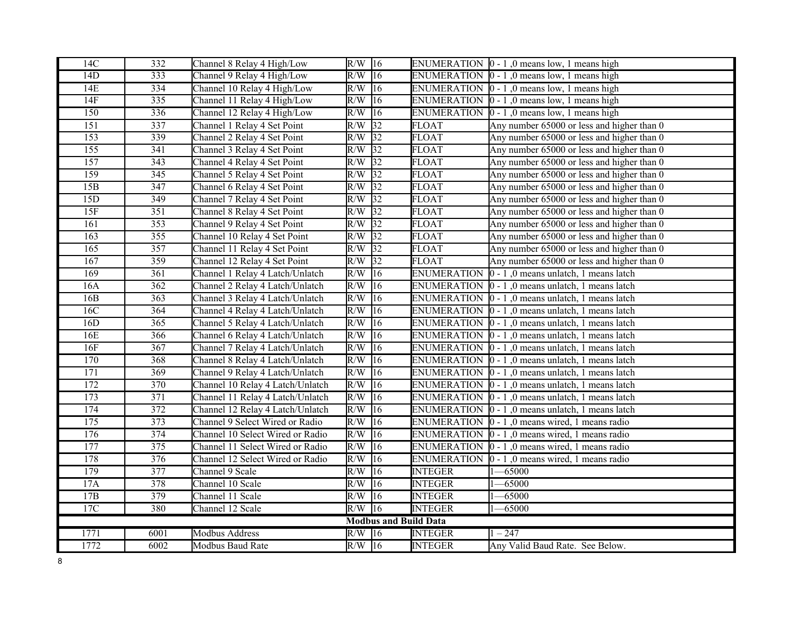| 14C              | 332              | Channel 8 Relay 4 High/Low       | $R/W$ 16         |                              |                    | ENUMERATION  0 - 1,0 means low, 1 means high                     |
|------------------|------------------|----------------------------------|------------------|------------------------------|--------------------|------------------------------------------------------------------|
| 14D              | 333              | Channel 9 Relay 4 High/Low       | R/W              | 16                           |                    | ENUMERATION $\vert 0 - 1 \vert$ , 0 means low, 1 means high      |
| 14E              | 334              | Channel 10 Relay 4 High/Low      | R/W              | $ 16\rangle$                 |                    | ENUMERATION $\vert 0 - 1 \vert$ , 0 means low, 1 means high      |
| 14F              | 335              | Channel 11 Relay 4 High/Low      | R/W              | $ 16\rangle$                 | <b>ENUMERATION</b> | $ 0 - 1 $ , 0 means low, 1 means high                            |
| 150              | 336              | Channel 12 Relay 4 High/Low      | R/W              | 16                           | <b>ENUMERATION</b> | $ 0 - 1 $ , 0 means low, 1 means high                            |
| 151              | 337              | Channel 1 Relay 4 Set Point      | R/W              | 32                           | <b>FLOAT</b>       | Any number 65000 or less and higher than 0                       |
| 153              | 339              | Channel 2 Relay 4 Set Point      | R/W              | 32                           | <b>FLOAT</b>       | Any number 65000 or less and higher than 0                       |
| $\overline{155}$ | $\overline{341}$ | Channel 3 Relay 4 Set Point      | R/W              | $\overline{32}$              | <b>FLOAT</b>       | Any number 65000 or less and higher than 0                       |
| 157              | 343              | Channel 4 Relay 4 Set Point      | $R/W$ 32         |                              | <b>FLOAT</b>       | Any number 65000 or less and higher than 0                       |
| 159              | 345              | Channel 5 Relay 4 Set Point      | R/W              | $\overline{32}$              | <b>FLOAT</b>       | Any number 65000 or less and higher than 0                       |
| 15B              | 347              | Channel 6 Relay 4 Set Point      | R/W              | $\sqrt{32}$                  | <b>FLOAT</b>       | Any number 65000 or less and higher than 0                       |
| 15D              | 349              | Channel 7 Relay 4 Set Point      | R/W              | 32                           | <b>FLOAT</b>       | Any number 65000 or less and higher than 0                       |
| 15F              | 351              | Channel 8 Relay 4 Set Point      | $R/W$ 32         |                              | <b>FLOAT</b>       | Any number 65000 or less and higher than 0                       |
| 161              | 353              | Channel 9 Relay 4 Set Point      | R/W              | 32                           | <b>FLOAT</b>       | Any number 65000 or less and higher than 0                       |
| 163              | 355              | Channel 10 Relay 4 Set Point     | $R/\overline{W}$ | 32                           | <b>FLOAT</b>       | Any number 65000 or less and higher than 0                       |
| 165              | 357              | Channel 11 Relay 4 Set Point     | R/W              | $\overline{32}$              | <b>FLOAT</b>       | Any number 65000 or less and higher than 0                       |
| 167              | 359              | Channel 12 Relay 4 Set Point     | R/W              | $\overline{32}$              | <b>FLOAT</b>       | Any number 65000 or less and higher than 0                       |
| 169              | 361              | Channel 1 Relay 4 Latch/Unlatch  | R/W              | 16                           | <b>ENUMERATION</b> | $0 - 1$ , 0 means unlatch, 1 means latch                         |
| 16A              | $\overline{362}$ | Channel 2 Relay 4 Latch/Unlatch  | R/W              | $\overline{16}$              | <b>ENUMERATION</b> | $0 - 1$ , 0 means unlatch, 1 means latch                         |
| 16B              | 363              | Channel 3 Relay 4 Latch/Unlatch  | R/W              | 16                           | <b>ENUMERATION</b> | $\vert 0 - 1 \rangle$ , 0 means unlatch, 1 means latch           |
| 16C              | 364              | Channel 4 Relay 4 Latch/Unlatch  | R/W              | $ 16\rangle$                 | <b>ENUMERATION</b> | $ 0 - 1 $ , 0 means unlatch, 1 means latch                       |
| 16D              | 365              | Channel 5 Relay 4 Latch/Unlatch  | R/W              | 16                           | <b>ENUMERATION</b> | $ 0 - 1 $ , 0 means unlatch, 1 means latch                       |
| 16E              | $\overline{366}$ | Channel 6 Relay 4 Latch/Unlatch  | R/W              | $\overline{16}$              | <b>ENUMERATION</b> | $0 - 1$ , 0 means unlatch, 1 means latch                         |
| 16F              | 367              | Channel 7 Relay 4 Latch/Unlatch  | R/W              | $ 16\rangle$                 | <b>ENUMERATION</b> | $\vert$ 0 - 1,0 means unlatch, 1 means latch                     |
| 170              | 368              | Channel 8 Relay 4 Latch/Unlatch  | R/W              | $ 16\rangle$                 | <b>ENUMERATION</b> | $\vert$ 0 - 1,0 means unlatch, 1 means latch                     |
| 171              | 369              | Channel 9 Relay 4 Latch/Unlatch  | R/W              | $\overline{16}$              | <b>ENUMERATION</b> | $ 0 - 1 $ , 0 means unlatch, 1 means latch                       |
| 172              | 370              | Channel 10 Relay 4 Latch/Unlatch | R/W              | $ 16\rangle$                 | <b>ENUMERATION</b> | $0 - 1$ , 0 means unlatch, 1 means latch                         |
| 173              | 371              | Channel 11 Relay 4 Latch/Unlatch | R/W              | 16                           |                    | ENUMERATION $\vert 0 - 1 \vert$ , 0 means unlatch, 1 means latch |
| 174              | 372              | Channel 12 Relay 4 Latch/Unlatch | R/W              | 16                           |                    | ENUMERATION $\vert 0 - 1 \vert$ , 0 means unlatch, 1 means latch |
| 175              | 373              | Channel 9 Select Wired or Radio  | R/W              | 16                           |                    | ENUMERATION $\vert 0 - 1 \vert$ , 0 means wired, 1 means radio   |
| 176              | $\overline{374}$ | Channel 10 Select Wired or Radio | R/W              | $\overline{16}$              |                    | ENUMERATION $\vert 0 - 1 \vert$ , 0 means wired, 1 means radio   |
| 177              | $\overline{375}$ | Channel 11 Select Wired or Radio | R/W              | $ 16\rangle$                 |                    | ENUMERATION $\vert 0 - 1 \vert$ , 0 means wired, 1 means radio   |
| 178              | 376              | Channel 12 Select Wired or Radio | R/W              | $ 16\rangle$                 | <b>ENUMERATION</b> | $ 0 - 1 $ , 0 means wired, 1 means radio                         |
| 179              | 377              | Channel 9 Scale                  | R/W              | $\overline{16}$              | <b>INTEGER</b>     | $-65000$                                                         |
| 17A              | 378              | Channel 10 Scale                 | R/W              | 16                           | <b>INTEGER</b>     | $-65000$                                                         |
| 17B              | 379              | Channel 11 Scale                 | R/W              | 16                           | <b>INTEGER</b>     | $-65000$                                                         |
| 17C              | 380              | Channel 12 Scale                 | $R/W$ 16         |                              | <b>INTEGER</b>     | -65000                                                           |
|                  |                  |                                  |                  | <b>Modbus and Build Data</b> |                    |                                                                  |
| 1771             | 6001             | <b>Modbus Address</b>            | $R/W$ 16         |                              | <b>INTEGER</b>     | $-247$                                                           |
| 1772             | 6002             | Modbus Baud Rate                 | $R/W$ 16         |                              | <b>INTEGER</b>     | Any Valid Baud Rate. See Below.                                  |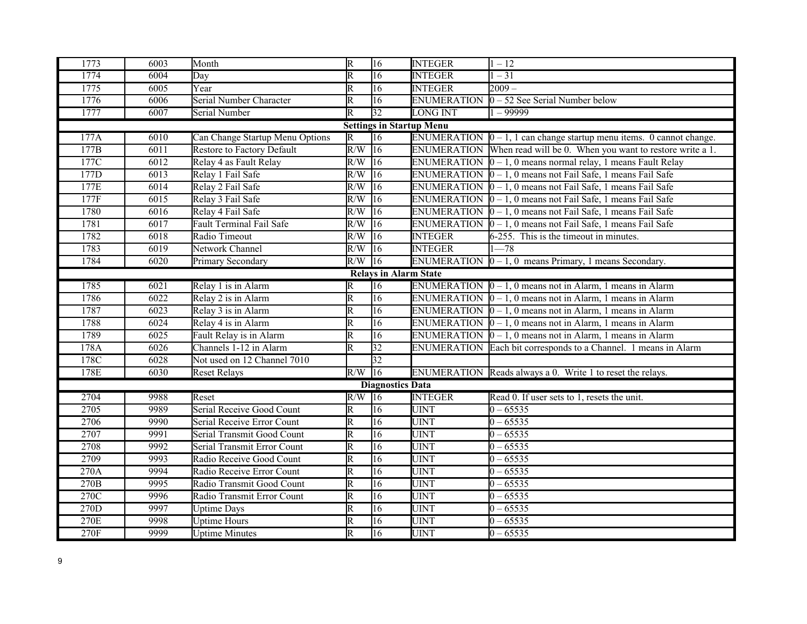| 1773 | 6003 | Month                           | $\overline{R}$          | 16                           | <b>INTEGER</b>                  | $1 - 12$                                                                      |
|------|------|---------------------------------|-------------------------|------------------------------|---------------------------------|-------------------------------------------------------------------------------|
| 1774 | 6004 | Day                             | $\overline{\mathrm{R}}$ | $\overline{16}$              | <b>INTEGER</b>                  | $\overline{-31}$                                                              |
| 1775 | 6005 | Year                            | $\overline{\mathsf{R}}$ | $\overline{16}$              | <b>INTEGER</b>                  | $2009 -$                                                                      |
| 1776 | 6006 | Serial Number Character         | R                       | 16                           | <b>ENUMERATION</b>              | $0 - 52$ See Serial Number below                                              |
| 1777 | 6007 | Serial Number                   | $\overline{\mathtt{R}}$ | $\overline{32}$              | <b>LONG INT</b>                 | $1 - 99999$                                                                   |
|      |      |                                 |                         |                              | <b>Settings in Startup Menu</b> |                                                                               |
| 177A | 6010 | Can Change Startup Menu Options | $\overline{\mathbb{R}}$ | $\overline{16}$              |                                 | ENUMERATION $\vert 0 - 1$ , 1 can change startup menu items. 0 cannot change. |
| 177B | 6011 | Restore to Factory Default      | $\overline{R/W}$        | $\overline{16}$              |                                 | ENUMERATION When read will be 0. When you want to restore write a 1.          |
| 177C | 6012 | Relay 4 as Fault Relay          | R/W                     | $ 16\rangle$                 |                                 | ENUMERATION $\vert 0 - 1$ , 0 means normal relay, 1 means Fault Relay         |
| 177D | 6013 | Relay 1 Fail Safe               | R/W                     | $\overline{16}$              |                                 | ENUMERATION $\vert 0 - 1$ , 0 means not Fail Safe, 1 means Fail Safe          |
| 177E | 6014 | Relay 2 Fail Safe               | R/W                     | $\overline{16}$              |                                 | ENUMERATION $\boxed{0 - 1, 0}$ means not Fail Safe, 1 means Fail Safe         |
| 177F | 6015 | Relay 3 Fail Safe               | R/W                     | $\overline{16}$              |                                 | ENUMERATION $\vert 0 - 1$ , 0 means not Fail Safe, 1 means Fail Safe          |
| 1780 | 6016 | Relay 4 Fail Safe               | R/W                     | $\overline{16}$              |                                 | ENUMERATION $\vert 0 - 1$ , 0 means not Fail Safe, 1 means Fail Safe          |
| 1781 | 6017 | <b>Fault Terminal Fail Safe</b> | $\overline{R/W}$        | $\overline{16}$              |                                 | ENUMERATION $\vert 0 - 1$ , 0 means not Fail Safe, 1 means Fail Safe          |
| 1782 | 6018 | Radio Timeout                   | R/W                     | $\overline{16}$              | <b>INTEGER</b>                  | 6-255. This is the timeout in minutes.                                        |
| 1783 | 6019 | Network Channel                 | R/W                     | $\overline{16}$              | <b>INTEGER</b>                  | $1 - 78$                                                                      |
| 1784 | 6020 | Primary Secondary               | $R/W$ 16                |                              |                                 | ENUMERATION $[0 - 1, 0$ means Primary, 1 means Secondary.                     |
|      |      |                                 |                         | <b>Relays in Alarm State</b> |                                 |                                                                               |
| 1785 | 6021 | Relay 1 is in Alarm             | $\mathbf R$             | $\overline{16}$              |                                 | ENUMERATION $[0 - 1, 0$ means not in Alarm, 1 means in Alarm                  |
| 1786 | 6022 | Relay 2 is in Alarm             | $\overline{\mathrm{R}}$ | $\overline{16}$              |                                 | ENUMERATION $[0 - 1, 0$ means not in Alarm, 1 means in Alarm                  |
| 1787 | 6023 | Relay 3 is in Alarm             | $\overline{\mathrm{R}}$ | $\overline{16}$              |                                 | ENUMERATION $\vert 0 - 1$ , 0 means not in Alarm, 1 means in Alarm            |
| 1788 | 6024 | Relay 4 is in Alarm             | $\overline{\mathsf{R}}$ | $\overline{16}$              |                                 | ENUMERATION $\vert 0-1, 0 \vert$ means not in Alarm, 1 means in Alarm         |
| 1789 | 6025 | Fault Relay is in Alarm         | $\overline{\mathrm{R}}$ | $\overline{16}$              |                                 | ENUMERATION $[0 - 1, 0$ means not in Alarm, 1 means in Alarm                  |
| 178A | 6026 | Channels 1-12 in Alarm          | $\overline{\mathsf{R}}$ | $\overline{32}$              |                                 | ENUMERATION Each bit corresponds to a Channel. 1 means in Alarm               |
| 178C | 6028 | Not used on 12 Channel 7010     |                         | $\overline{32}$              |                                 |                                                                               |
| 178E | 6030 | <b>Reset Relays</b>             | R/W                     | $\overline{16}$              |                                 | ENUMERATION Reads always a 0. Write 1 to reset the relays.                    |
|      |      |                                 |                         | <b>Diagnostics Data</b>      |                                 |                                                                               |
| 2704 | 9988 | Reset                           | $R/W$ 16                |                              | <b>INTEGER</b>                  | Read 0. If user sets to 1, resets the unit.                                   |
| 2705 | 9989 | Serial Receive Good Count       | $\overline{\mathsf{R}}$ | 16                           | <b>UINT</b>                     | $0 - 65535$                                                                   |
| 2706 | 9990 | Serial Receive Error Count      | $\overline{\mathrm{R}}$ | $\overline{16}$              | <b>UINT</b>                     | $0 - 65535$                                                                   |
| 2707 | 9991 | Serial Transmit Good Count      | R                       | $\overline{16}$              | <b>UINT</b>                     | $0 - 65535$                                                                   |
| 2708 | 9992 | Serial Transmit Error Count     | $\overline{\mathsf{R}}$ | 16                           | <b>UINT</b>                     | $0 - 65535$                                                                   |
| 2709 | 9993 | Radio Receive Good Count        | $\overline{\mathrm{R}}$ | $\overline{16}$              | <b>UINT</b>                     | $0 - 65535$                                                                   |
| 270A | 9994 | Radio Receive Error Count       | $\overline{\mathsf{R}}$ | 16                           | <b>UINT</b>                     | $0 - 65535$                                                                   |
| 270B | 9995 | Radio Transmit Good Count       | $\overline{\mathsf{R}}$ | $\overline{16}$              | <b>UINT</b>                     | $0 - 65535$                                                                   |
| 270C | 9996 | Radio Transmit Error Count      | $\overline{\mathsf{R}}$ | $\overline{16}$              | <b>UINT</b>                     | $0 - 65535$                                                                   |
| 270D | 9997 | <b>Uptime Days</b>              | $\overline{\mathrm{R}}$ | 16                           | <b>UINT</b>                     | $0 - 65535$                                                                   |
| 270E | 9998 | <b>Uptime Hours</b>             | R                       | $\overline{16}$              | <b>UINT</b>                     | $0 - 65535$                                                                   |
| 270F | 9999 | <b>Uptime Minutes</b>           | $\overline{\mathsf{R}}$ | $\overline{16}$              | <b>UINT</b>                     | $0 - 65535$                                                                   |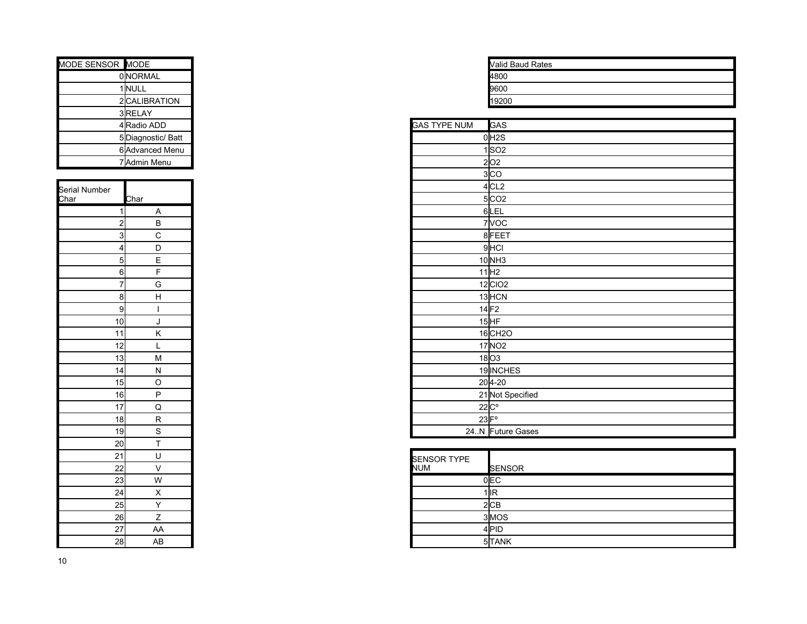| MODE SENSOR MODE |                  |                     | <b>Valid Baud Rates</b> |
|------------------|------------------|---------------------|-------------------------|
|                  | <b>OINORMAL</b>  |                     | 4800                    |
|                  | 1 NULL           |                     | 9600                    |
|                  | 2 CALIBRATION    |                     | 19200                   |
|                  | 3RELAY           |                     |                         |
|                  | 4 Radio ADD      | <b>GAS TYPE NUM</b> | <b>GAS</b>              |
|                  | 5Diagnostic/Batt |                     | $0$ $H2S$               |
|                  | 6 Advanced Menu  |                     | 1 SO <sub>2</sub>       |
|                  | 7 Admin Menu     |                     | 2 O2                    |
|                  |                  |                     | 3 <sub>CO</sub>         |

| Serial Number<br>Char                     | <b>Char</b>                                                   |
|-------------------------------------------|---------------------------------------------------------------|
| $\overline{1}$                            |                                                               |
|                                           | $\frac{A}{B} \frac{B}{C} \frac{C}{D} \frac{E}{E} \frac{F}{F}$ |
|                                           |                                                               |
| $\frac{2}{3}$ $\frac{3}{4}$ $\frac{4}{5}$ |                                                               |
|                                           |                                                               |
|                                           | $\frac{6}{7}$                                                 |
|                                           |                                                               |
| $\overline{8}$                            | $\overline{H}$                                                |
| $\frac{1}{9}$                             |                                                               |
| 10                                        |                                                               |
| $\frac{1}{11}$                            |                                                               |
| $\frac{1}{12}$                            |                                                               |
|                                           |                                                               |
| $\frac{13}{14}$                           |                                                               |
| $\overline{15}$                           |                                                               |
| $\overline{16}$                           |                                                               |
| 17                                        |                                                               |
| 18                                        |                                                               |
| <u>19</u>                                 |                                                               |
| $\frac{20}{2}$                            |                                                               |
| $\overline{21}$                           |                                                               |
| $\frac{1}{22}$                            |                                                               |
| $\overline{23}$                           |                                                               |
| $\overline{24}$                           |                                                               |
| 25                                        |                                                               |
| $\frac{26}{5}$                            | $\overline{z}$                                                |
| $\overline{27}$                           | AA                                                            |
| 28                                        | AB                                                            |

| Valid Baud Rates |
|------------------|
|                  |
| 4800             |
| 9600             |
| 19200            |

| 4Radio ADD                                                                                               | <b>GAS TYPE NUM</b> | <b>GAS</b>            |
|----------------------------------------------------------------------------------------------------------|---------------------|-----------------------|
| 5Diagnostic/Batt                                                                                         |                     | $0$ H <sub>2S</sub>   |
| 6 Advanced Menu                                                                                          |                     | 1 SO2                 |
| 7 Admin Menu                                                                                             |                     | 2 02                  |
|                                                                                                          |                     | 3 CO                  |
|                                                                                                          |                     | $4$ CL <sub>2</sub>   |
| Char                                                                                                     |                     | $5$ $CO2$             |
| $\mathbf{1}$<br>Α                                                                                        |                     | 6LEL                  |
| $\overline{a}$<br>B                                                                                      |                     | $7$ VOC               |
| 3<br>$\mathsf C$                                                                                         |                     | 8FEET                 |
| $\overline{4}$<br>D                                                                                      |                     | $9$ HCI               |
| $\vert$<br>E                                                                                             |                     | $10$ <sub>NH3</sub>   |
| 6<br>F                                                                                                   |                     | 11 H2                 |
| $\overline{7}$<br>${\mathsf G}$                                                                          |                     | $12$ CIO <sub>2</sub> |
| 8 <br>$\boldsymbol{\mathsf{H}}$                                                                          |                     | $13$ $HCN$            |
| 9                                                                                                        | $14$ F <sub>2</sub> |                       |
| 10<br>J                                                                                                  |                     | $15$ HF               |
| 11<br>Κ                                                                                                  |                     | $16$ CH <sub>2O</sub> |
| 12<br>┗                                                                                                  |                     | $17$ NO <sub>2</sub>  |
| $\overline{13}$<br>$\mathsf{M}% _{T}=\mathsf{M}_{T}\!\left( a,b\right) ,\ \mathsf{M}_{T}=\mathsf{M}_{T}$ |                     | $18$ O3               |
| $\overline{14}$<br>${\sf N}$                                                                             |                     | 19 INCHES             |
| 15<br>$\circ$                                                                                            |                     | $20 4-20$             |
| $\overline{16}$<br>P                                                                                     |                     | 21 Not Specified      |
| $\overline{17}$<br>$\mathsf Q$                                                                           | $22C^{\circ}$       |                       |
| 18<br>${\sf R}$                                                                                          | $23$ $F^{\circ}$    |                       |
| 19<br>S                                                                                                  |                     | 24.N Future Gases     |

| 21<br>22 |    | <b>SENSOR TYPE</b><br><b>NUM</b> | <b>SENSOR</b> |
|----------|----|----------------------------------|---------------|
| 23       | W  |                                  | 0 EC          |
| 24       | v  |                                  | $1$ IIR       |
| 25       |    |                                  | 2 CB          |
| 26       |    |                                  | 3MOS          |
| 27       | AA |                                  | 4PID          |
| 28       | AB |                                  | 5TANK         |